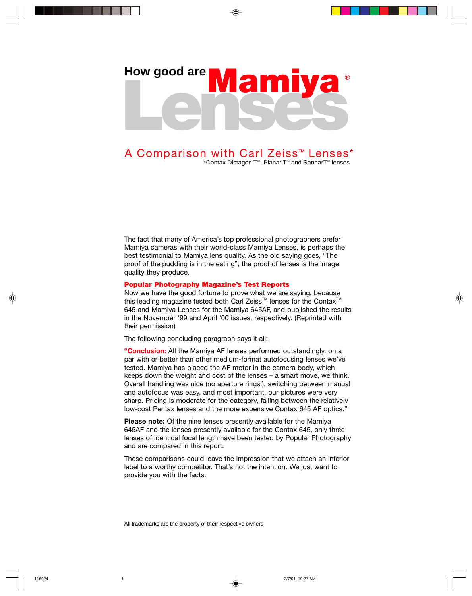# Lenses How good are **Mam**

## A Comparison with Carl Zeiss<sup>™</sup> Lenses<sup>\*</sup>

\*Contax Distagon T<sup>™</sup>, Planar T<sup>™</sup> and SonnarT<sup>™</sup> lenses

The fact that many of America's top professional photographers prefer Mamiya cameras with their world-class Mamiya Lenses, is perhaps the best testimonial to Mamiya lens quality. As the old saying goes, "The proof of the pudding is in the eating"; the proof of lenses is the image quality they produce.

#### **Popular Photography Magazine's Test Reports**

Now we have the good fortune to prove what we are saying, because this leading magazine tested both Carl Zeiss™ lenses for the Contax™ 645 and Mamiya Lenses for the Mamiya 645AF, and published the results in the November '99 and April '00 issues, respectively. (Reprinted with their permission)

The following concluding paragraph says it all:

**"Conclusion:** All the Mamiya AF lenses performed outstandingly, on a par with or better than other medium-format autofocusing lenses we've tested. Mamiya has placed the AF motor in the camera body, which keeps down the weight and cost of the lenses – a smart move, we think. Overall handling was nice (no aperture rings!), switching between manual and autofocus was easy, and most important, our pictures were very sharp. Pricing is moderate for the category, falling between the relatively low-cost Pentax lenses and the more expensive Contax 645 AF optics."

**Please note:** Of the nine lenses presently available for the Mamiya 645AF and the lenses presently available for the Contax 645, only three lenses of identical focal length have been tested by Popular Photography and are compared in this report.

These comparisons could leave the impression that we attach an inferior label to a worthy competitor. That's not the intention. We just want to provide you with the facts.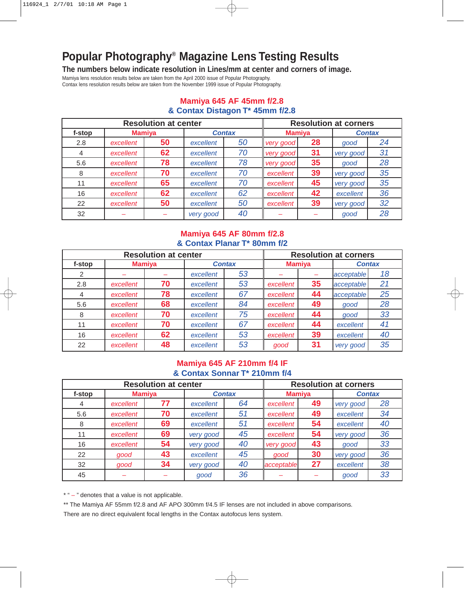## **Popular Photography® Magazine Lens Testing Results**

**The numbers below indicate resolution in Lines/mm at center and corners of image.**

Mamiya lens resolution results below are taken from the April 2000 issue of Popular Photography.

Contax lens resolution results below are taken from the November 1999 issue of Popular Photography.

|        | <b>Resolution at corners</b> |    |               |    |               |    |               |    |
|--------|------------------------------|----|---------------|----|---------------|----|---------------|----|
| f-stop | <b>Mamiya</b>                |    | <b>Contax</b> |    | <b>Mamiya</b> |    | <b>Contax</b> |    |
| 2.8    | excellent                    | 50 | excellent     | 50 | very good     | 28 | good          | 24 |
| 4      | excellent                    | 62 | excellent     | 70 | very good     | 31 | very good     | 31 |
| 5.6    | excellent                    | 78 | excellent     | 78 | very good     | 35 | good          | 28 |
| 8      | excellent                    | 70 | excellent     | 70 | excellent     | 39 | very good     | 35 |
| 11     | excellent                    | 65 | excellent     | 70 | excellent     | 45 | very good     | 35 |
| 16     | excellent                    | 62 | excellent     | 62 | excellent     | 42 | excellent     | 36 |
| 22     | excellent                    | 50 | excellent     | 50 | excellent     | 39 | very good     | 32 |
| 32     |                              |    | very good     | 40 |               |    | good          | 28 |

#### **Mamiya 645 AF 45mm f/2.8 & Contax Distagon T\* 45mm f/2.8**

#### **Mamiya 645 AF 80mm f/2.8 & Contax Planar T\* 80mm f/2**

| <b>Resolution at center</b> |               |    |               |    |               | <b>Resolution at corners</b> |               |    |  |  |
|-----------------------------|---------------|----|---------------|----|---------------|------------------------------|---------------|----|--|--|
| f-stop                      | <b>Mamiya</b> |    | <b>Contax</b> |    | <b>Mamiya</b> |                              | <b>Contax</b> |    |  |  |
| 2                           |               |    | excellent     | 53 |               |                              | acceptable    | 18 |  |  |
| 2.8                         | excellent     | 70 | excellent     | 53 | excellent     | 35                           | acceptable    | 21 |  |  |
| 4                           | excellent     | 78 | excellent     | 67 | excellent     | 44                           | acceptable    | 25 |  |  |
| 5.6                         | excellent     | 68 | excellent     | 84 | excellent     | 49                           | good          | 28 |  |  |
| 8                           | excellent     | 70 | excellent     | 75 | excellent     | 44                           | good          | 33 |  |  |
| 11                          | excellent     | 70 | excellent     | 67 | excellent     | 44                           | excellent     | 41 |  |  |
| 16                          | excellent     | 62 | excellent     | 53 | excellent     | 39                           | excellent     | 40 |  |  |
| 22                          | excellent     | 48 | excellent     | 53 | good          | 31                           | very good     | 35 |  |  |

#### **Mamiya 645 AF 210mm f/4 IF & Contax Sonnar T\* 210mm f/4**

|        | <b>Resolution at corners</b> |    |               |    |               |    |               |    |
|--------|------------------------------|----|---------------|----|---------------|----|---------------|----|
| f-stop | <b>Mamiya</b>                |    | <b>Contax</b> |    | <b>Mamiya</b> |    | <b>Contax</b> |    |
| 4      | excellent                    | 77 | excellent     | 64 | excellent     | 49 | very good     | 28 |
| 5.6    | excellent                    | 70 | excellent     | 51 | excellent     | 49 | excellent     | 34 |
| 8      | excellent                    | 69 | excellent     | 51 | excellent     | 54 | excellent     | 40 |
| 11     | excellent                    | 69 | very good     | 45 | excellent     | 54 | very good     | 36 |
| 16     | excellent                    | 54 | very good     | 40 | very good     | 43 | good          | 33 |
| 22     | good                         | 43 | excellent     | 45 | good          | 30 | very good     | 36 |
| 32     | good                         | 34 | very good     | 40 | acceptable    | 27 | excellent     | 38 |
| 45     |                              |    | good          | 36 |               |    | good          | 33 |

\* " – " denotes that a value is not applicable.

\*\* The Mamiya AF 55mm f/2.8 and AF APO 300mm f/4.5 IF lenses are not included in above comparisons.

There are no direct equivalent focal lengths in the Contax autofocus lens system.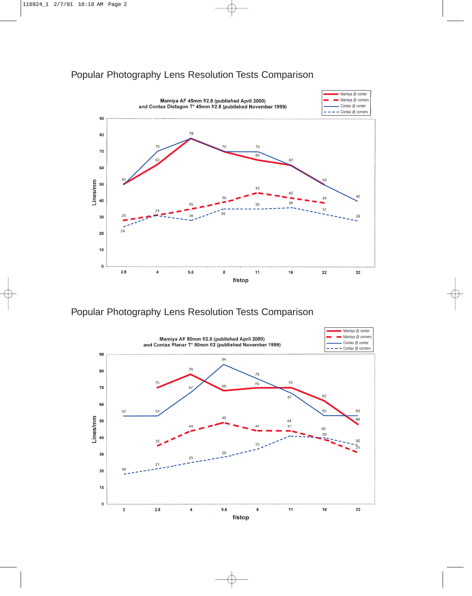### Popular Photography Lens Resolution Tests Comparison



Popular Photography Lens Resolution Tests Comparison